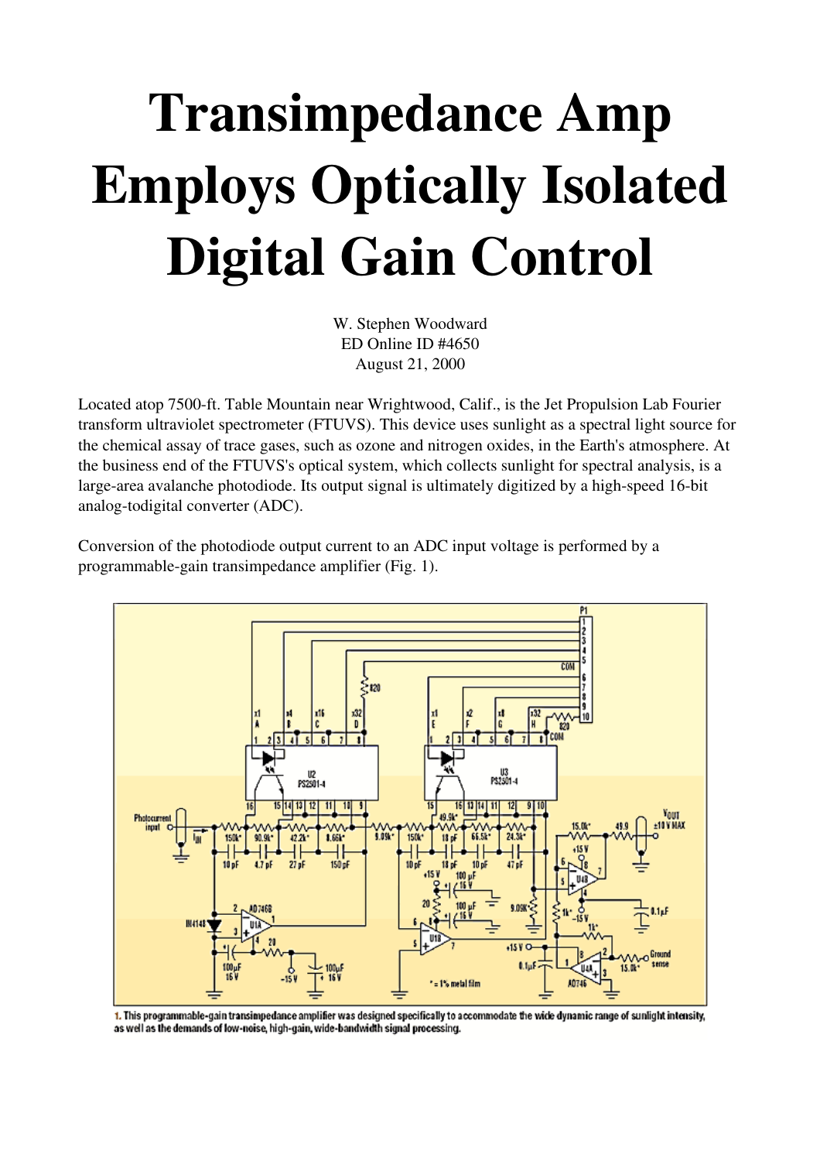## Transimpedance Amp Employs Optically Isolated Digital Gain Control

W. Stephen Woodward ED Online ID #4650 August 21, 2000

Located atop 7500-ft. Table Mountain near Wrightwood, Calif., is the Jet Propulsion Lab Fourier transform ultraviolet spectrometer (FTUVS). This device uses sunlight as a spectral light source for the chemical assay of trace gases, such as ozone and nitrogen oxides, in the Earth's atmosphere. At the business end of the FTUVS's optical system, which collects sunlight for spectral analysis, is a large-area avalanche photodiode. Its output signal is ultimately digitized by a high-speed 16-bit analog-todigital converter (ADC).

Conversion of the photodiode output current to an ADC input voltage is performed by a programmable-gain transimpedance amplifier (Fig. 1).



1. This programmable-gain transimpedance amplifier was designed specifically to accommodate the wide dynamic range of sunlight intensity, as well as the demands of low-noise, high-gain, wide-bandwidth signal processing.